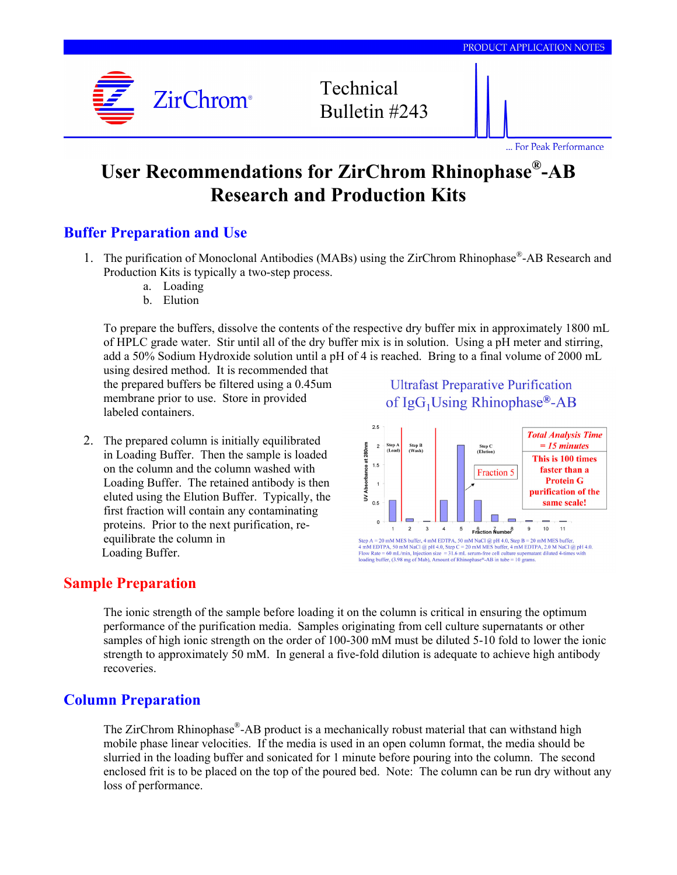

... For Peak Performance

# **User Recommendations for ZirChrom Rhinophase®-AB Research and Production Kits**

## **Buffer Preparation and Use**

- 1. The purification of Monoclonal Antibodies (MABs) using the ZirChrom Rhinophase®-AB Research and Production Kits is typically a two-step process.
	- a. Loading
	- b. Elution

To prepare the buffers, dissolve the contents of the respective dry buffer mix in approximately 1800 mL of HPLC grade water. Stir until all of the dry buffer mix is in solution. Using a pH meter and stirring, add a 50% Sodium Hydroxide solution until a pH of 4 is reached. Bring to a final volume of 2000 mL

using desired method. It is recommended that the prepared buffers be filtered using a 0.45um membrane prior to use. Store in provided labeled containers.

2. The prepared column is initially equilibrated in Loading Buffer. Then the sample is loaded on the column and the column washed with Loading Buffer. The retained antibody is then eluted using the Elution Buffer. Typically, the first fraction will contain any contaminating proteins. Prior to the next purification, reequilibrate the column in Loading Buffer.

#### **Ultrafast Preparative Purification** of  $IgG_1$ Using Rhinophase®-AB



#### **Sample Preparation**

The ionic strength of the sample before loading it on the column is critical in ensuring the optimum performance of the purification media. Samples originating from cell culture supernatants or other samples of high ionic strength on the order of 100-300 mM must be diluted 5-10 fold to lower the ionic strength to approximately 50 mM. In general a five-fold dilution is adequate to achieve high antibody recoveries.

## **Column Preparation**

The ZirChrom Rhinophase®-AB product is a mechanically robust material that can withstand high mobile phase linear velocities. If the media is used in an open column format, the media should be slurried in the loading buffer and sonicated for 1 minute before pouring into the column. The second enclosed frit is to be placed on the top of the poured bed. Note: The column can be run dry without any loss of performance.